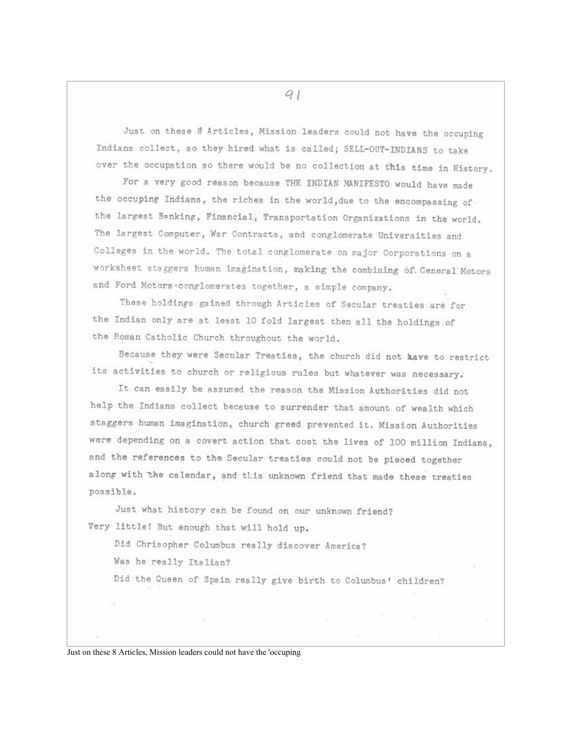Just on these 8 Articles, Mission leaders could not have the occuping Indians collect, so they hired what is called; SELL-OUT-INDIANS to take over the occupation so there would be no collection at this time in History.

For a very good reason because THE INDIAN MANIFESTO would have made the occuping Indians, the riches in the world, due to the encompassing of. the largest Banking, Financial, Transportation Organizations in the world. The largest Computer, War Contracts, and conglomerate Universities and Colleges in the world. The total conglomerate on major Corporations on a worksheet staggers human imagination, making the combining of General Motors and Ford Motorseconglomerates together, a simple company.

These holdings gained through Articles of Secular treaties are for the Indian only are at least 10 fold largest then all the holdings of the Roman Catholic Church throughout the world.

Because they were Secular Treaties, the church did not kave to restrict its activities to church or religious rules but whatever was necessary.

It can easily be assumed the reason the Mission Authorities did not help the Indians collect because to surrender that amount of wealth which staggers human imagination, church greed prevented it. Mission Authorities were depending on a covert action that cost the lives of 100 million Indians, and the references to the Secular treaties could not be pieced together along with the calendar, and this unknown friend that made these treaties possible.

Just what history can be found on our unknown friend? Very little! But enough that will hold up.

Did Chrisopher Columbus really discover America?

Was he really Italian?

Did the Queen of Spain really give birth to Columbus' children?

Just on these 8 Articles, Mission leaders could not have the 'occuping

 $q_1$